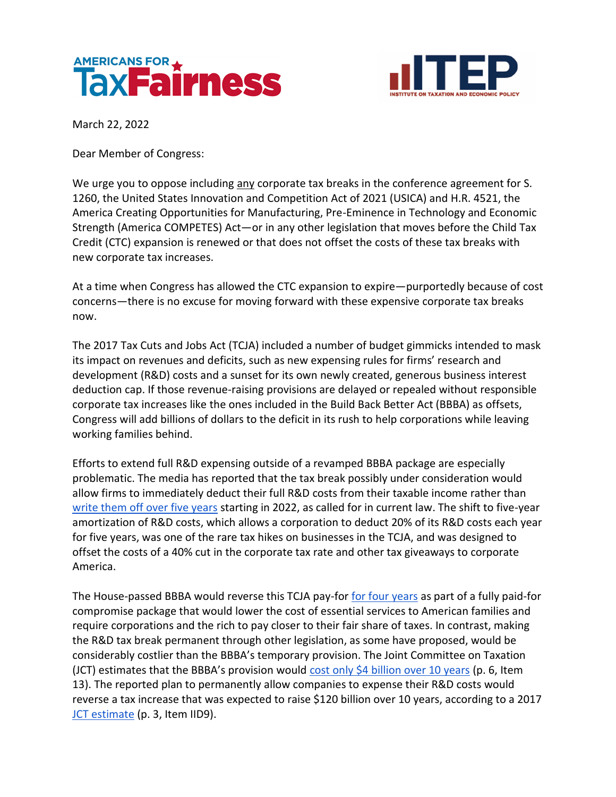



March 22, 2022

Dear Member of Congress:

We urge you to oppose including any corporate tax breaks in the conference agreement for S. 1260, the United States Innovation and Competition Act of 2021 (USICA) and H.R. 4521, the America Creating Opportunities for Manufacturing, Pre-Eminence in Technology and Economic Strength (America COMPETES) Act—or in any other legislation that moves before the Child Tax Credit (CTC) expansion is renewed or that does not offset the costs of these tax breaks with new corporate tax increases.

At a time when Congress has allowed the CTC expansion to expire—purportedly because of cost concerns—there is no excuse for moving forward with these expensive corporate tax breaks now.

The 2017 Tax Cuts and Jobs Act (TCJA) included a number of budget gimmicks intended to mask its impact on revenues and deficits, such as new expensing rules for firms' research and development (R&D) costs and a sunset for its own newly created, generous business interest deduction cap. If those revenue-raising provisions are delayed or repealed without responsible corporate tax increases like the ones included in the Build Back Better Act (BBBA) as offsets, Congress will add billions of dollars to the deficit in its rush to help corporations while leaving working families behind.

Efforts to extend full R&D expensing outside of a revamped BBBA package are especially problematic. The media has reported that the tax break possibly under consideration would allow firms to immediately deduct their full R&D costs from their taxable income rather than [write them off over five years](https://www.adp.com/spark/articles/2021/08/rd-tax-credits-must-be-taken-across-5-years-starting-in-tax-year-2022.aspx) starting in 2022, as called for in current law. The shift to five-year amortization of R&D costs, which allows a corporation to deduct 20% of its R&D costs each year for five years, was one of the rare tax hikes on businesses in the TCJA, and was designed to offset the costs of a 40% cut in the corporate tax rate and other tax giveaways to corporate America.

The House-passed BBBA would reverse this TCJA pay-for [for four years](https://mnetax.com/us-house-budget-bill-would-postpone-rd-tax-expensing-change-45816) as part of a fully paid-for compromise package that would lower the cost of essential services to American families and require corporations and the rich to pay closer to their fair share of taxes. In contrast, making the R&D tax break permanent through other legislation, as some have proposed, would be considerably costlier than the BBBA's temporary provision. The Joint Committee on Taxation (JCT) estimates that the BBBA's provision would [cost only \\$4 billion over 10 years](https://www.jct.gov/publications/2021/jcx-45-21/) (p. 6, Item 13). The reported plan to permanently allow companies to expense their R&D costs would reverse a tax increase that was expected to raise \$120 billion over 10 years, according to a 2017 [JCT estimate](https://www.jct.gov/CMSPages/GetFile.aspx?guid=2f1d880c-ca26-429d-9044-63ac084d07cd) (p. 3, Item IID9).